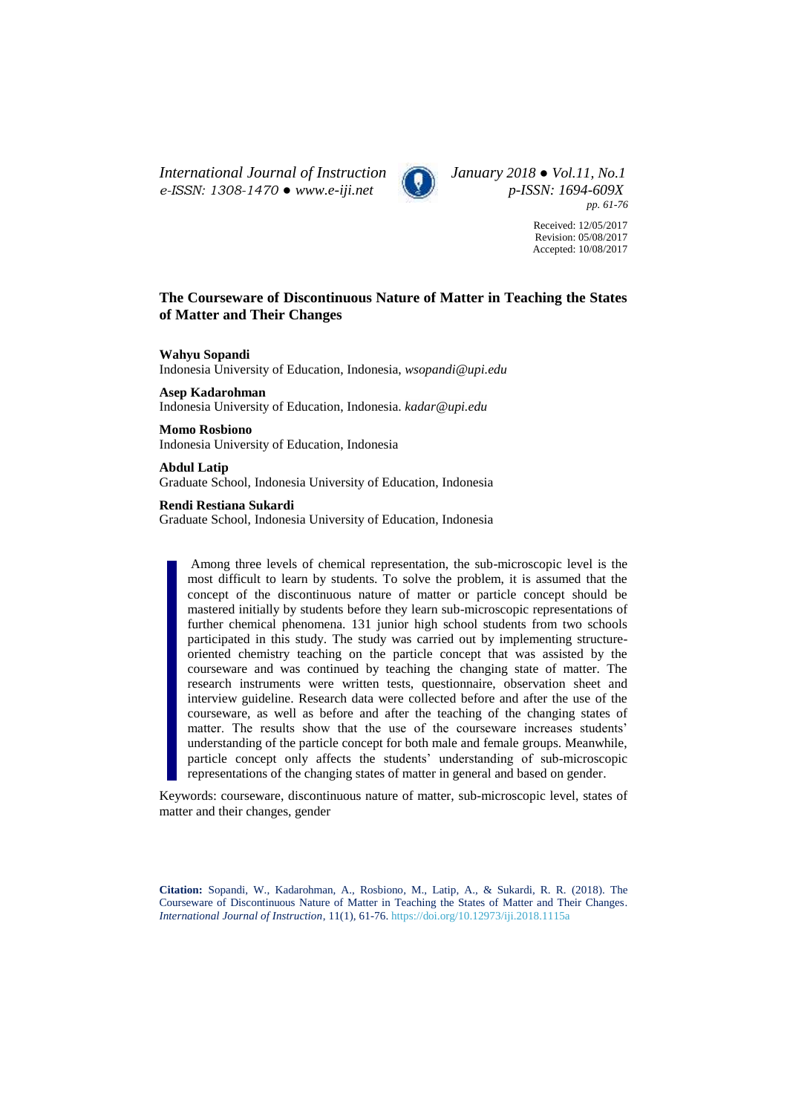*International Journal of Instruction January 2018 ● Vol.11, No.1 e-ISSN: 1308-1470 ● [www.e-iji.net](http://www.e-iji.net/) p-ISSN: 1694-609X*



*pp. 61-76*

Received: 12/05/2017 Revision: 05/08/2017 Accepted: 10/08/2017

# **The Courseware of Discontinuous Nature of Matter in Teaching the States of Matter and Their Changes**

**Wahyu Sopandi** Indonesia University of Education, Indonesia, *[wsopandi@upi.edu](mailto:wsopandi@upi.edu)*

**Asep Kadarohman** Indonesia University of Education, Indonesia. *kadar@upi.edu*

**Momo Rosbiono** Indonesia University of Education, Indonesia

**Abdul Latip** Graduate School, Indonesia University of Education, Indonesia

#### **Rendi Restiana Sukardi**

Graduate School, Indonesia University of Education, Indonesia

Among three levels of chemical representation, the sub-microscopic level is the most difficult to learn by students. To solve the problem, it is assumed that the concept of the discontinuous nature of matter or particle concept should be mastered initially by students before they learn sub-microscopic representations of further chemical phenomena. 131 junior high school students from two schools participated in this study. The study was carried out by implementing structureoriented chemistry teaching on the particle concept that was assisted by the courseware and was continued by teaching the changing state of matter. The research instruments were written tests, questionnaire, observation sheet and interview guideline. Research data were collected before and after the use of the courseware, as well as before and after the teaching of the changing states of matter. The results show that the use of the courseware increases students' understanding of the particle concept for both male and female groups. Meanwhile, particle concept only affects the students' understanding of sub-microscopic representations of the changing states of matter in general and based on gender.

Keywords: courseware, discontinuous nature of matter, sub-microscopic level, states of matter and their changes, gender

**Citation:** Sopandi, W., Kadarohman, A., Rosbiono, M., Latip, A., & Sukardi, R. R. (2018). The Courseware of Discontinuous Nature of Matter in Teaching the States of Matter and Their Changes. *International Journal of Instruction*, 11(1), 61-76. <https://doi.org/10.12973/iji.2018.1115a>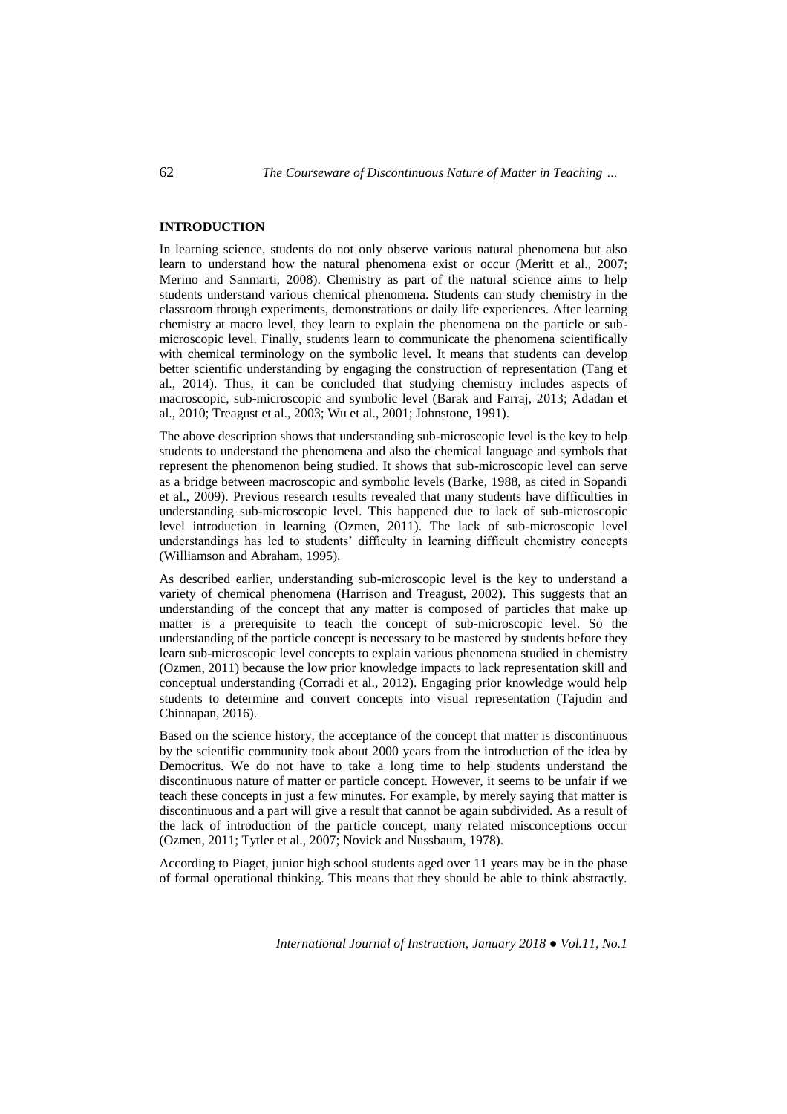## **INTRODUCTION**

In learning science, students do not only observe various natural phenomena but also learn to understand how the natural phenomena exist or occur (Meritt et al., 2007; Merino and Sanmarti, 2008). Chemistry as part of the natural science aims to help students understand various chemical phenomena. Students can study chemistry in the classroom through experiments, demonstrations or daily life experiences. After learning chemistry at macro level, they learn to explain the phenomena on the particle or submicroscopic level. Finally, students learn to communicate the phenomena scientifically with chemical terminology on the symbolic level. It means that students can develop better scientific understanding by engaging the construction of representation (Tang et al., 2014). Thus, it can be concluded that studying chemistry includes aspects of macroscopic, sub-microscopic and symbolic level (Barak and Farraj, 2013; Adadan et al., 2010; Treagust et al., 2003; Wu et al., 2001; Johnstone, 1991).

The above description shows that understanding sub-microscopic level is the key to help students to understand the phenomena and also the chemical language and symbols that represent the phenomenon being studied. It shows that sub-microscopic level can serve as a bridge between macroscopic and symbolic levels (Barke, 1988, as cited in Sopandi et al., 2009). Previous research results revealed that many students have difficulties in understanding sub-microscopic level. This happened due to lack of sub-microscopic level introduction in learning (Ozmen, 2011). The lack of sub-microscopic level understandings has led to students' difficulty in learning difficult chemistry concepts (Williamson and Abraham, 1995).

As described earlier, understanding sub-microscopic level is the key to understand a variety of chemical phenomena (Harrison and Treagust, 2002). This suggests that an understanding of the concept that any matter is composed of particles that make up matter is a prerequisite to teach the concept of sub-microscopic level. So the understanding of the particle concept is necessary to be mastered by students before they learn sub-microscopic level concepts to explain various phenomena studied in chemistry (Ozmen, 2011) because the low prior knowledge impacts to lack representation skill and conceptual understanding (Corradi et al., 2012). Engaging prior knowledge would help students to determine and convert concepts into visual representation (Tajudin and Chinnapan, 2016).

Based on the science history, the acceptance of the concept that matter is discontinuous by the scientific community took about 2000 years from the introduction of the idea by Democritus. We do not have to take a long time to help students understand the discontinuous nature of matter or particle concept. However, it seems to be unfair if we teach these concepts in just a few minutes. For example, by merely saying that matter is discontinuous and a part will give a result that cannot be again subdivided. As a result of the lack of introduction of the particle concept, many related misconceptions occur (Ozmen, 2011; Tytler et al., 2007; Novick and Nussbaum, 1978).

According to Piaget, junior high school students aged over 11 years may be in the phase of formal operational thinking. This means that they should be able to think abstractly.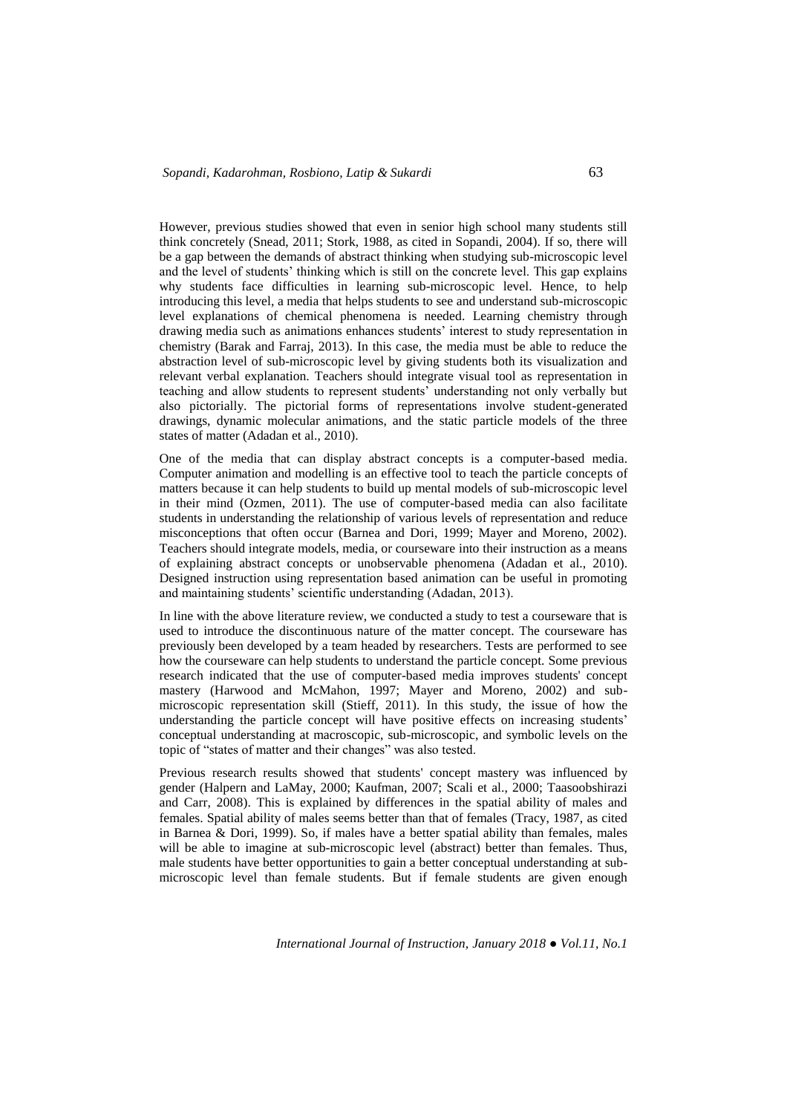However, previous studies showed that even in senior high school many students still think concretely (Snead, 2011; Stork, 1988, as cited in Sopandi, 2004). If so, there will be a gap between the demands of abstract thinking when studying sub-microscopic level and the level of students' thinking which is still on the concrete level. This gap explains why students face difficulties in learning sub-microscopic level. Hence, to help introducing this level, a media that helps students to see and understand sub-microscopic level explanations of chemical phenomena is needed. Learning chemistry through drawing media such as animations enhances students' interest to study representation in chemistry (Barak and Farraj, 2013). In this case, the media must be able to reduce the abstraction level of sub-microscopic level by giving students both its visualization and relevant verbal explanation. Teachers should integrate visual tool as representation in teaching and allow students to represent students' understanding not only verbally but also pictorially. The pictorial forms of representations involve student-generated drawings, dynamic molecular animations, and the static particle models of the three states of matter (Adadan et al., 2010).

One of the media that can display abstract concepts is a computer-based media. Computer animation and modelling is an effective tool to teach the particle concepts of matters because it can help students to build up mental models of sub-microscopic level in their mind (Ozmen, 2011). The use of computer-based media can also facilitate students in understanding the relationship of various levels of representation and reduce misconceptions that often occur (Barnea and Dori, 1999; Mayer and Moreno, 2002). Teachers should integrate models, media, or courseware into their instruction as a means of explaining abstract concepts or unobservable phenomena (Adadan et al., 2010). Designed instruction using representation based animation can be useful in promoting and maintaining students' scientific understanding (Adadan, 2013).

In line with the above literature review, we conducted a study to test a courseware that is used to introduce the discontinuous nature of the matter concept. The courseware has previously been developed by a team headed by researchers. Tests are performed to see how the courseware can help students to understand the particle concept. Some previous research indicated that the use of computer-based media improves students' concept mastery (Harwood and McMahon, 1997; Mayer and Moreno, 2002) and submicroscopic representation skill (Stieff, 2011). In this study, the issue of how the understanding the particle concept will have positive effects on increasing students' conceptual understanding at macroscopic, sub-microscopic, and symbolic levels on the topic of "states of matter and their changes" was also tested.

Previous research results showed that students' concept mastery was influenced by gender (Halpern and LaMay, 2000; Kaufman, 2007; Scali et al., 2000; Taasoobshirazi and Carr, 2008). This is explained by differences in the spatial ability of males and females. Spatial ability of males seems better than that of females (Tracy, 1987, as cited in Barnea & Dori, 1999). So, if males have a better spatial ability than females, males will be able to imagine at sub-microscopic level (abstract) better than females. Thus, male students have better opportunities to gain a better conceptual understanding at submicroscopic level than female students. But if female students are given enough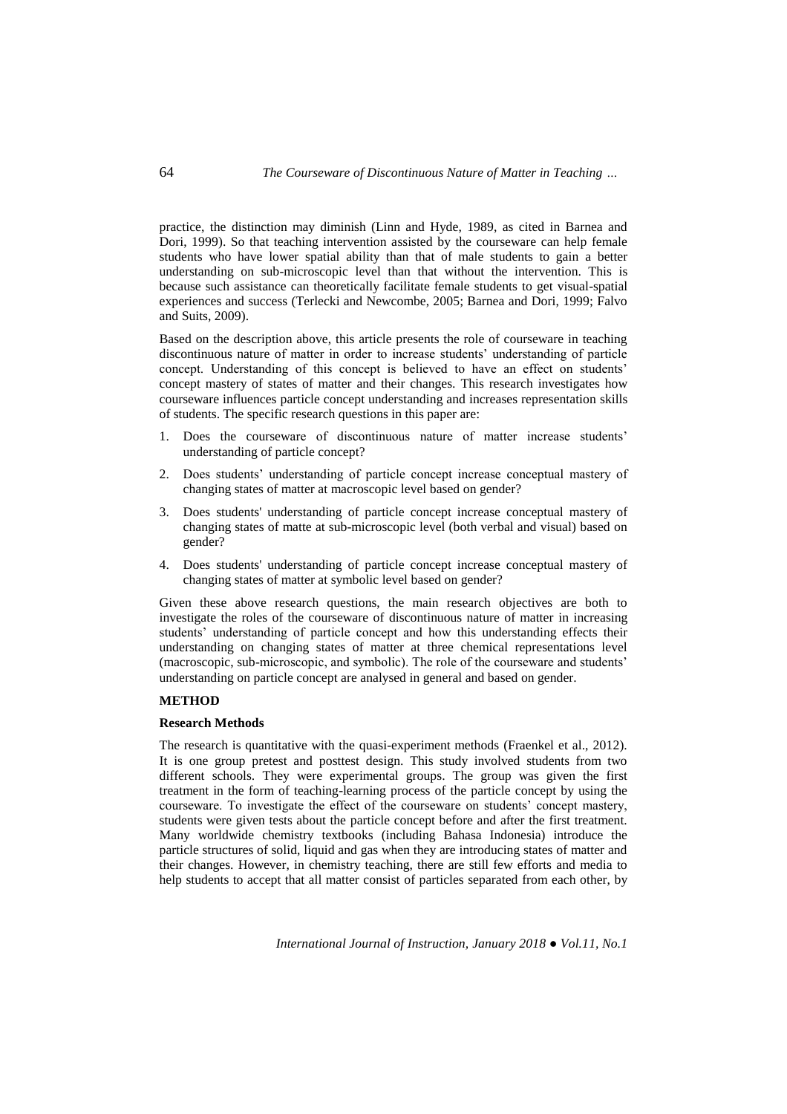practice, the distinction may diminish (Linn and Hyde, 1989, as cited in Barnea and Dori, 1999). So that teaching intervention assisted by the courseware can help female students who have lower spatial ability than that of male students to gain a better understanding on sub-microscopic level than that without the intervention. This is because such assistance can theoretically facilitate female students to get visual-spatial experiences and success (Terlecki and Newcombe, 2005; Barnea and Dori, 1999; Falvo and Suits, 2009).

Based on the description above, this article presents the role of courseware in teaching discontinuous nature of matter in order to increase students' understanding of particle concept. Understanding of this concept is believed to have an effect on students' concept mastery of states of matter and their changes. This research investigates how courseware influences particle concept understanding and increases representation skills of students. The specific research questions in this paper are:

- 1. Does the courseware of discontinuous nature of matter increase students' understanding of particle concept?
- 2. Does students' understanding of particle concept increase conceptual mastery of changing states of matter at macroscopic level based on gender?
- 3. Does students' understanding of particle concept increase conceptual mastery of changing states of matte at sub-microscopic level (both verbal and visual) based on gender?
- 4. Does students' understanding of particle concept increase conceptual mastery of changing states of matter at symbolic level based on gender?

Given these above research questions, the main research objectives are both to investigate the roles of the courseware of discontinuous nature of matter in increasing students' understanding of particle concept and how this understanding effects their understanding on changing states of matter at three chemical representations level (macroscopic, sub-microscopic, and symbolic). The role of the courseware and students' understanding on particle concept are analysed in general and based on gender.

## **METHOD**

## **Research Methods**

The research is quantitative with the quasi-experiment methods (Fraenkel et al., 2012). It is one group pretest and posttest design. This study involved students from two different schools. They were experimental groups. The group was given the first treatment in the form of teaching-learning process of the particle concept by using the courseware. To investigate the effect of the courseware on students' concept mastery, students were given tests about the particle concept before and after the first treatment. Many worldwide chemistry textbooks (including Bahasa Indonesia) introduce the particle structures of solid, liquid and gas when they are introducing states of matter and their changes. However, in chemistry teaching, there are still few efforts and media to help students to accept that all matter consist of particles separated from each other, by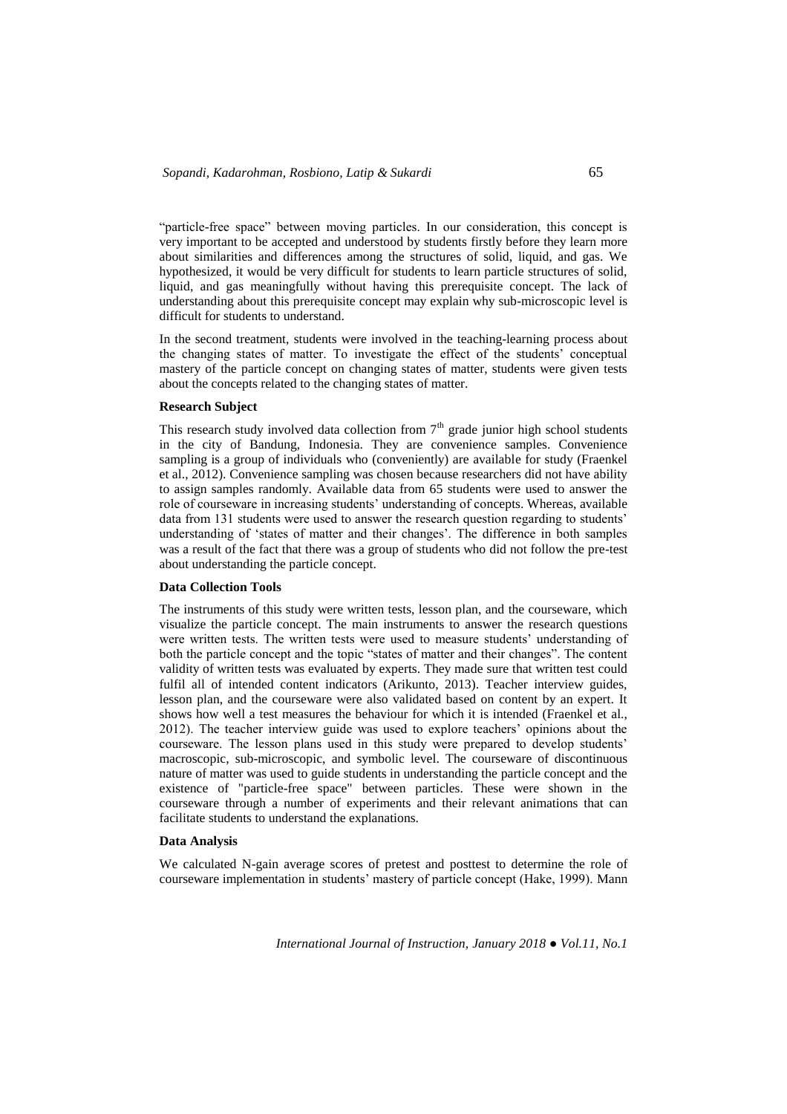"particle-free space" between moving particles. In our consideration, this concept is very important to be accepted and understood by students firstly before they learn more about similarities and differences among the structures of solid, liquid, and gas. We hypothesized, it would be very difficult for students to learn particle structures of solid, liquid, and gas meaningfully without having this prerequisite concept. The lack of understanding about this prerequisite concept may explain why sub-microscopic level is difficult for students to understand.

In the second treatment, students were involved in the teaching-learning process about the changing states of matter. To investigate the effect of the students' conceptual mastery of the particle concept on changing states of matter, students were given tests about the concepts related to the changing states of matter.

#### **Research Subject**

This research study involved data collection from  $7<sup>th</sup>$  grade junior high school students in the city of Bandung, Indonesia. They are convenience samples. Convenience sampling is a group of individuals who (conveniently) are available for study (Fraenkel et al., 2012). Convenience sampling was chosen because researchers did not have ability to assign samples randomly. Available data from 65 students were used to answer the role of courseware in increasing students' understanding of concepts. Whereas, available data from 131 students were used to answer the research question regarding to students' understanding of 'states of matter and their changes'. The difference in both samples was a result of the fact that there was a group of students who did not follow the pre-test about understanding the particle concept.

#### **Data Collection Tools**

The instruments of this study were written tests, lesson plan, and the courseware, which visualize the particle concept. The main instruments to answer the research questions were written tests. The written tests were used to measure students' understanding of both the particle concept and the topic "states of matter and their changes". The content validity of written tests was evaluated by experts. They made sure that written test could fulfil all of intended content indicators (Arikunto, 2013). Teacher interview guides, lesson plan, and the courseware were also validated based on content by an expert. It shows how well a test measures the behaviour for which it is intended (Fraenkel et al., 2012). The teacher interview guide was used to explore teachers' opinions about the courseware. The lesson plans used in this study were prepared to develop students' macroscopic, sub-microscopic, and symbolic level. The courseware of discontinuous nature of matter was used to guide students in understanding the particle concept and the existence of "particle-free space" between particles. These were shown in the courseware through a number of experiments and their relevant animations that can facilitate students to understand the explanations.

#### **Data Analysis**

We calculated N-gain average scores of pretest and posttest to determine the role of courseware implementation in students' mastery of particle concept (Hake, 1999). Mann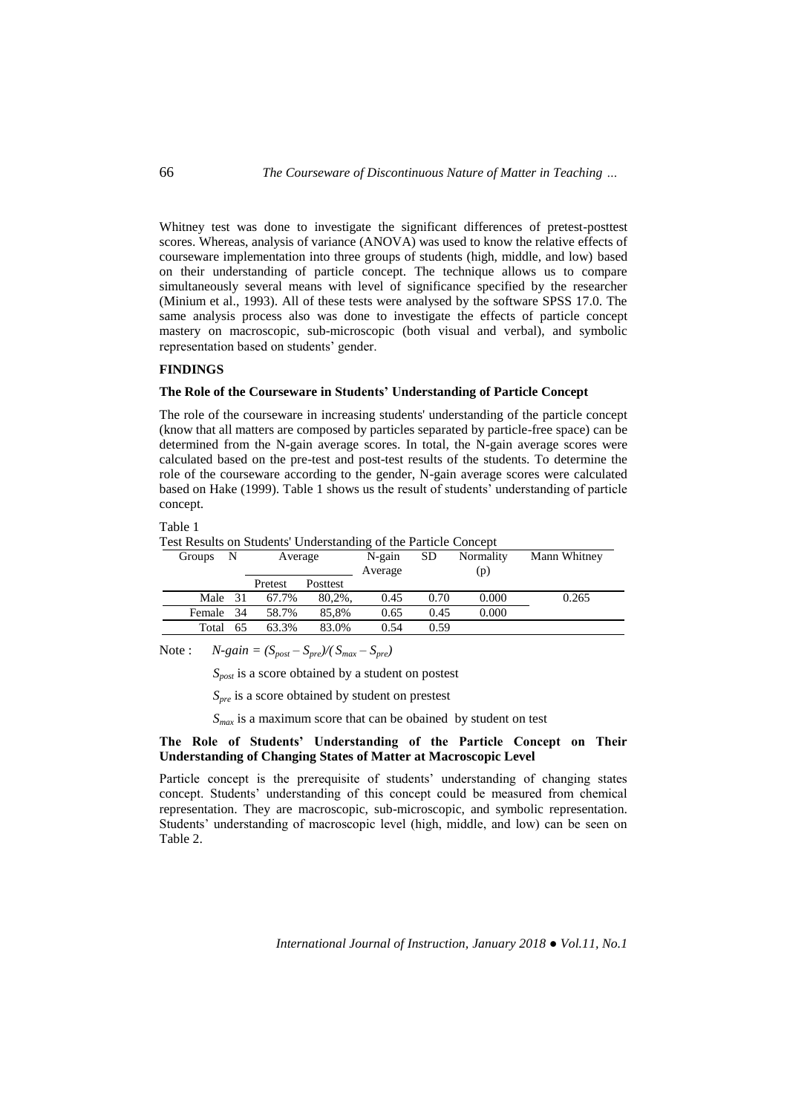Whitney test was done to investigate the significant differences of pretest-posttest scores. Whereas, analysis of variance (ANOVA) was used to know the relative effects of courseware implementation into three groups of students (high, middle, and low) based on their understanding of particle concept. The technique allows us to compare simultaneously several means with level of significance specified by the researcher (Minium et al., 1993). All of these tests were analysed by the software SPSS 17.0. The same analysis process also was done to investigate the effects of particle concept mastery on macroscopic, sub-microscopic (both visual and verbal), and symbolic representation based on students' gender.

# **FINDINGS**

#### **The Role of the Courseware in Students' Understanding of Particle Concept**

The role of the courseware in increasing students' understanding of the particle concept (know that all matters are composed by particles separated by particle-free space) can be determined from the N-gain average scores. In total, the N-gain average scores were calculated based on the pre-test and post-test results of the students. To determine the role of the courseware according to the gender, N-gain average scores were calculated based on Hake (1999). Table 1 shows us the result of students' understanding of particle concept.

Table 1

Test Results on Students' Understanding of the Particle Concept

| Groups  | N   | Average |                 | $N$ -gain<br>Average | SD   | Normality<br>(p) | Mann Whitney |
|---------|-----|---------|-----------------|----------------------|------|------------------|--------------|
|         |     | Pretest | <b>Posttest</b> |                      |      |                  |              |
| Male 31 |     | 67.7%   | 80.2%.          | 0.45                 | 0.70 | 0.000            | 0.265        |
| Female  | -34 | 58.7%   | 85.8%           | 0.65                 | 0.45 | 0.000            |              |
| Total   | 65  | 63.3%   | 83.0%           | 0.54                 | 0.59 |                  |              |

Note:  $N-gain = (S_{post} - S_{pre})/(S_{max} - S_{pre})$ 

*Spost* is a score obtained by a student on postest

*Spre* is a score obtained by student on prestest

 $S<sub>max</sub>$  is a maximum score that can be obained by student on test

## **The Role of Students' Understanding of the Particle Concept on Their Understanding of Changing States of Matter at Macroscopic Level**

Particle concept is the prerequisite of students' understanding of changing states concept. Students' understanding of this concept could be measured from chemical representation. They are macroscopic, sub-microscopic, and symbolic representation. Students' understanding of macroscopic level (high, middle, and low) can be seen on Table 2.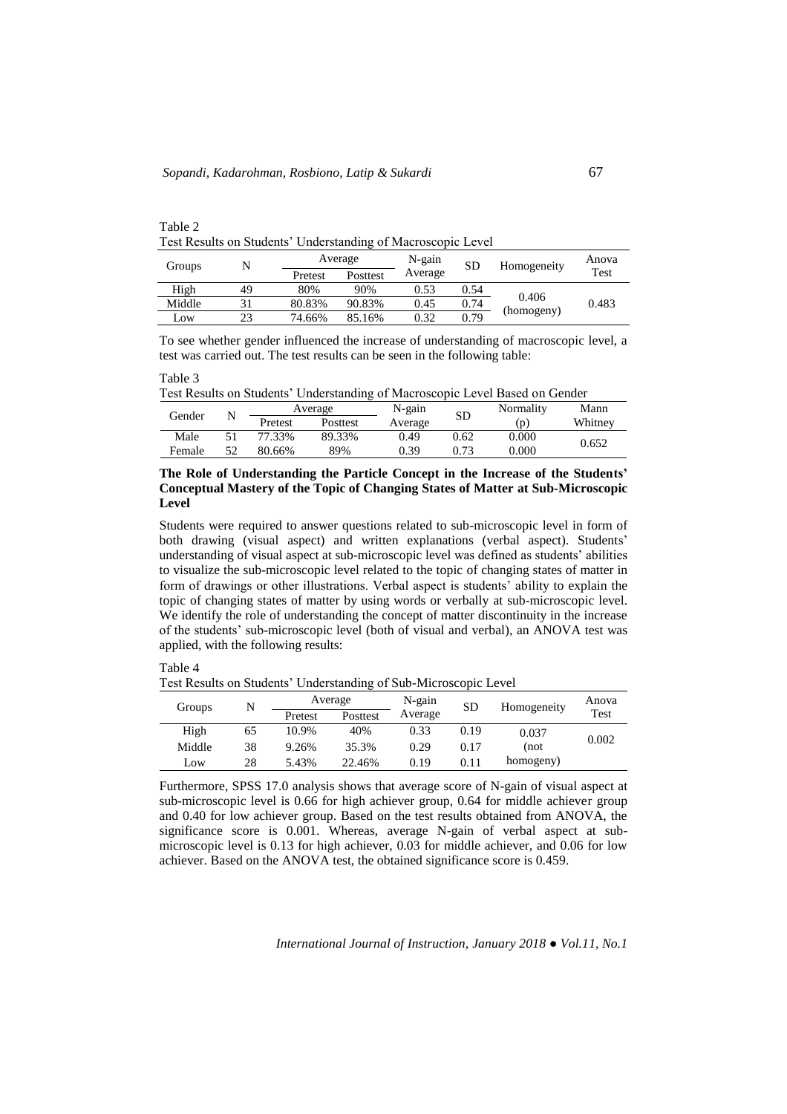| Table 2                                                      |  |
|--------------------------------------------------------------|--|
| Test Results on Students' Understanding of Macroscopic Level |  |
|                                                              |  |

| Groups |    | Average |          | N-gain  | <b>SD</b> | Homogeneity         | Anova |
|--------|----|---------|----------|---------|-----------|---------------------|-------|
|        |    | Pretest | Posttest | Average |           |                     | Test  |
| High   | 49 | 80%     | 90%      | 0.53    | 0.54      |                     |       |
| Middle |    | 80.83%  | 90.83%   | 0.45    | 0.74      | 0.406<br>(homogeny) | 0.483 |
| LOW    | 23 | 74.66%  | 85.16%   | 0.32    | 0.79      |                     |       |

To see whether gender influenced the increase of understanding of macroscopic level, a test was carried out. The test results can be seen in the following table:

| ., |  |
|----|--|
|----|--|

Test Results on Students' Understanding of Macroscopic Level Based on Gender

| Gender | Average |          | N-gain  | SD   | Normality | Mann    |
|--------|---------|----------|---------|------|-----------|---------|
|        | Pretest | Posttest | Average |      | (p)       | Whitnev |
| Male   | 77.33%  | 89.33%   | 0.49    | 0.62 | 0.000     | 0.652   |
| Female | 80.66%  | 89%      | 0.39    | 0.73 | 0.000     |         |

## **The Role of Understanding the Particle Concept in the Increase of the Students' Conceptual Mastery of the Topic of Changing States of Matter at Sub-Microscopic Level**

Students were required to answer questions related to sub-microscopic level in form of both drawing (visual aspect) and written explanations (verbal aspect). Students' understanding of visual aspect at sub-microscopic level was defined as students' abilities to visualize the sub-microscopic level related to the topic of changing states of matter in form of drawings or other illustrations. Verbal aspect is students' ability to explain the topic of changing states of matter by using words or verbally at sub-microscopic level. We identify the role of understanding the concept of matter discontinuity in the increase of the students' sub-microscopic level (both of visual and verbal), an ANOVA test was applied, with the following results:

Table 4

Test Results on Students' Understanding of Sub-Microscopic Level

| Groups | N  | Average |          | N-gain  | <b>SD</b> | Homogeneity | Anova |
|--------|----|---------|----------|---------|-----------|-------------|-------|
|        |    | Pretest | Posttest | Average |           |             | Test  |
| High   | 65 | 10.9%   | 40%      | 0.33    | 0.19      | 0.037       |       |
| Middle | 38 | 9.26%   | 35.3%    | 0.29    | 0.17      | (not        | 0.002 |
| Low    | 28 | 5.43%   | 22.46%   | 0.19    | 0.11      | homogeny)   |       |

Furthermore, SPSS 17.0 analysis shows that average score of N-gain of visual aspect at sub-microscopic level is 0.66 for high achiever group, 0.64 for middle achiever group and 0.40 for low achiever group. Based on the test results obtained from ANOVA, the significance score is 0.001. Whereas, average N-gain of verbal aspect at submicroscopic level is 0.13 for high achiever, 0.03 for middle achiever, and 0.06 for low achiever. Based on the ANOVA test, the obtained significance score is 0.459.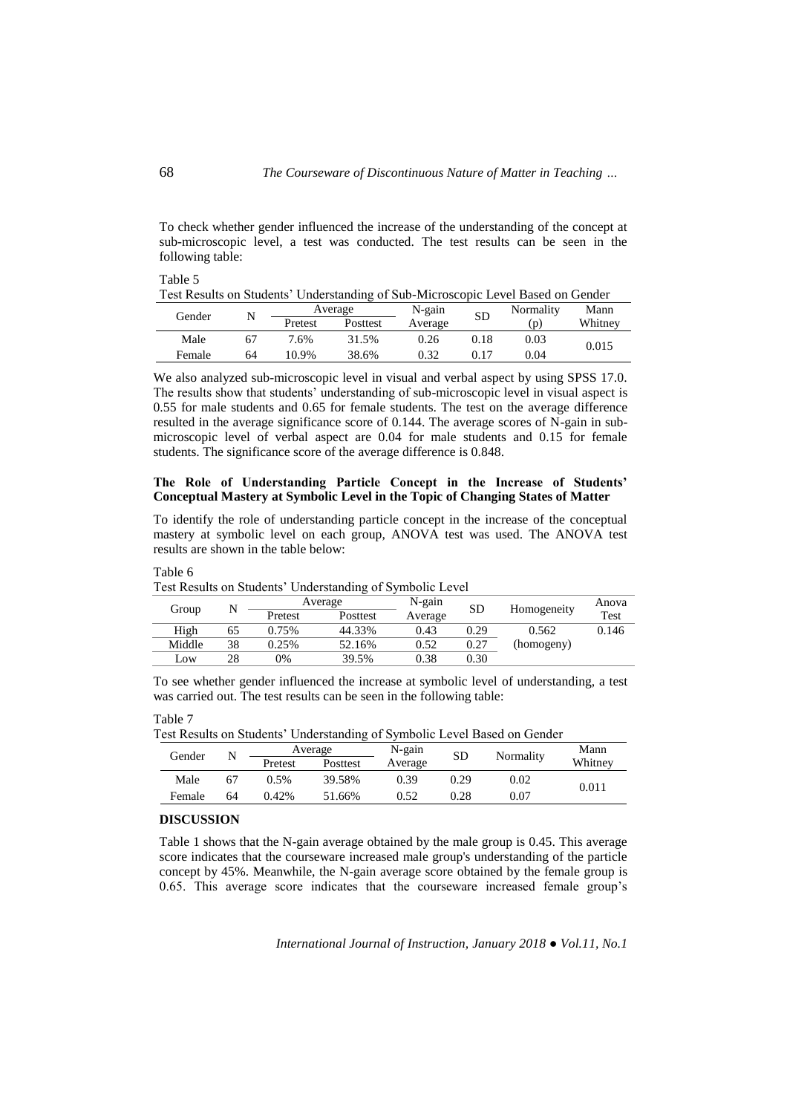To check whether gender influenced the increase of the understanding of the concept at sub-microscopic level, a test was conducted. The test results can be seen in the following table:

| Table 5                                                                          |  |
|----------------------------------------------------------------------------------|--|
| Test Results on Students' Understanding of Sub-Microscopic Level Based on Gender |  |

| Gender |    | Average |          | N-gain  | <b>SD</b> | Normality | Mann    |
|--------|----|---------|----------|---------|-----------|-----------|---------|
|        |    | Pretest | Posttest | Average |           | (p)       | Whitney |
| Male   |    | 7.6%    | 31.5%    | 0.26    | 0.18      | 0.03      | 0.015   |
| Female | 64 | 10.9%   | 38.6%    | 9.32    |           | 0.04      |         |

We also analyzed sub-microscopic level in visual and verbal aspect by using SPSS 17.0. The results show that students' understanding of sub-microscopic level in visual aspect is 0.55 for male students and 0.65 for female students. The test on the average difference resulted in the average significance score of 0.144. The average scores of N-gain in submicroscopic level of verbal aspect are 0.04 for male students and 0.15 for female students. The significance score of the average difference is 0.848.

#### **The Role of Understanding Particle Concept in the Increase of Students' Conceptual Mastery at Symbolic Level in the Topic of Changing States of Matter**

To identify the role of understanding particle concept in the increase of the conceptual mastery at symbolic level on each group, ANOVA test was used. The ANOVA test results are shown in the table below:

#### Table 6

Test Results on Students' Understanding of Symbolic Level

|        |    |         | . .      |         |           |             |       |
|--------|----|---------|----------|---------|-----------|-------------|-------|
|        |    | Average |          | N-gain  | <b>SD</b> |             | Anova |
| Group  |    | Pretest | Posttest | Average |           | Homogeneity | Test  |
| High   | 65 | 0.75%   | 44.33%   | 0.43    | 0.29      | 0.562       | 0.146 |
| Middle | 38 | 0.25%   | 52.16%   | 0.52    | 0.27      | (homogeny)  |       |
| Low    | 28 | 0%      | 39.5%    | 0.38    | 0.30      |             |       |

To see whether gender influenced the increase at symbolic level of understanding, a test was carried out. The test results can be seen in the following table:

#### Table 7

Test Results on Students' Understanding of Symbolic Level Based on Gender

| Gender<br>N |    | Average |          | N-gain  | SD   | Normality | Mann    |
|-------------|----|---------|----------|---------|------|-----------|---------|
|             |    | Pretest | Posttest | Average |      |           | Whitney |
| Male        | 67 | 0.5%    | 39.58%   | 0.39    | 0.29 | 0.02      | 0.011   |
| Female      | 64 | 0.42%   | 51.66%   | 0.52    | ).28 | 0.07      |         |

# **DISCUSSION**

Table 1 shows that the N-gain average obtained by the male group is 0.45. This average score indicates that the courseware increased male group's understanding of the particle concept by 45%. Meanwhile, the N-gain average score obtained by the female group is 0.65. This average score indicates that the courseware increased female group's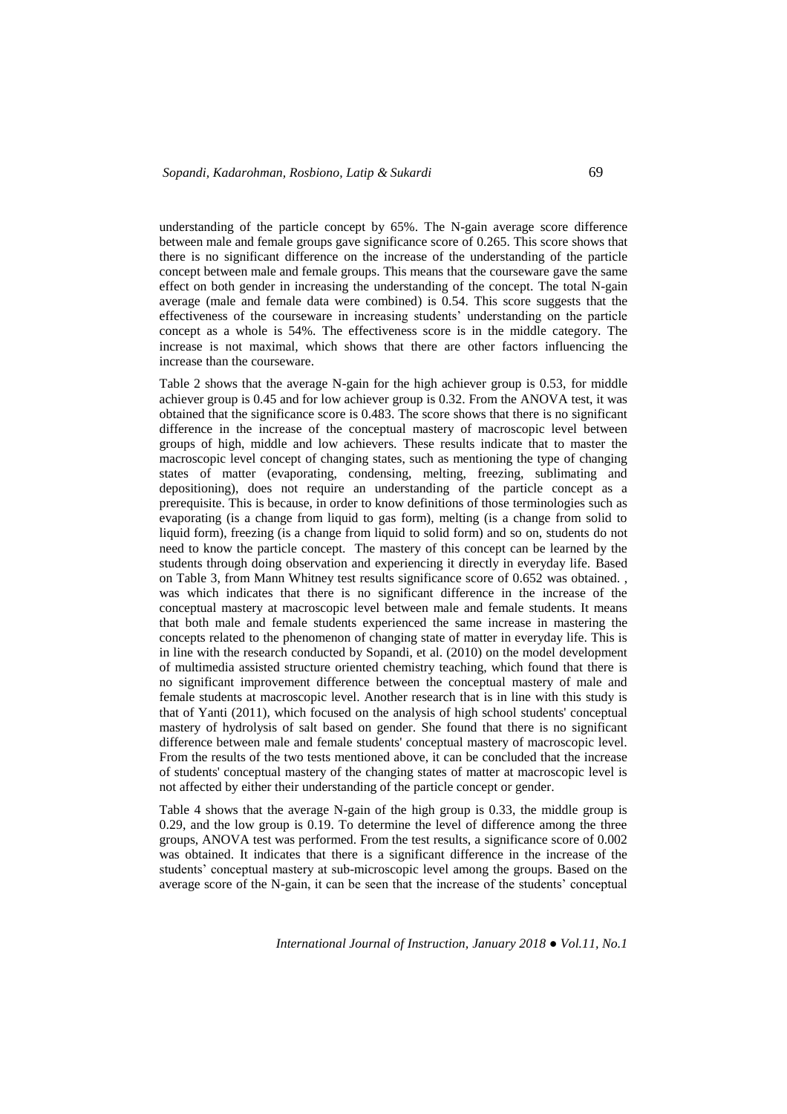understanding of the particle concept by 65%. The N-gain average score difference between male and female groups gave significance score of 0.265. This score shows that there is no significant difference on the increase of the understanding of the particle concept between male and female groups. This means that the courseware gave the same effect on both gender in increasing the understanding of the concept. The total N-gain average (male and female data were combined) is 0.54. This score suggests that the effectiveness of the courseware in increasing students' understanding on the particle concept as a whole is 54%. The effectiveness score is in the middle category. The increase is not maximal, which shows that there are other factors influencing the increase than the courseware.

Table 2 shows that the average N-gain for the high achiever group is 0.53, for middle achiever group is 0.45 and for low achiever group is 0.32. From the ANOVA test, it was obtained that the significance score is 0.483. The score shows that there is no significant difference in the increase of the conceptual mastery of macroscopic level between groups of high, middle and low achievers. These results indicate that to master the macroscopic level concept of changing states, such as mentioning the type of changing states of matter (evaporating, condensing, melting, freezing, sublimating and depositioning), does not require an understanding of the particle concept as a prerequisite. This is because, in order to know definitions of those terminologies such as evaporating (is a change from liquid to gas form), melting (is a change from solid to liquid form), freezing (is a change from liquid to solid form) and so on, students do not need to know the particle concept. The mastery of this concept can be learned by the students through doing observation and experiencing it directly in everyday life. Based on Table 3, from Mann Whitney test results significance score of 0.652 was obtained. , was which indicates that there is no significant difference in the increase of the conceptual mastery at macroscopic level between male and female students. It means that both male and female students experienced the same increase in mastering the concepts related to the phenomenon of changing state of matter in everyday life. This is in line with the research conducted by Sopandi, et al. (2010) on the model development of multimedia assisted structure oriented chemistry teaching, which found that there is no significant improvement difference between the conceptual mastery of male and female students at macroscopic level. Another research that is in line with this study is that of Yanti (2011), which focused on the analysis of high school students' conceptual mastery of hydrolysis of salt based on gender. She found that there is no significant difference between male and female students' conceptual mastery of macroscopic level. From the results of the two tests mentioned above, it can be concluded that the increase of students' conceptual mastery of the changing states of matter at macroscopic level is not affected by either their understanding of the particle concept or gender.

Table 4 shows that the average N-gain of the high group is 0.33, the middle group is 0.29, and the low group is 0.19. To determine the level of difference among the three groups, ANOVA test was performed. From the test results, a significance score of 0.002 was obtained. It indicates that there is a significant difference in the increase of the students' conceptual mastery at sub-microscopic level among the groups. Based on the average score of the N-gain, it can be seen that the increase of the students' conceptual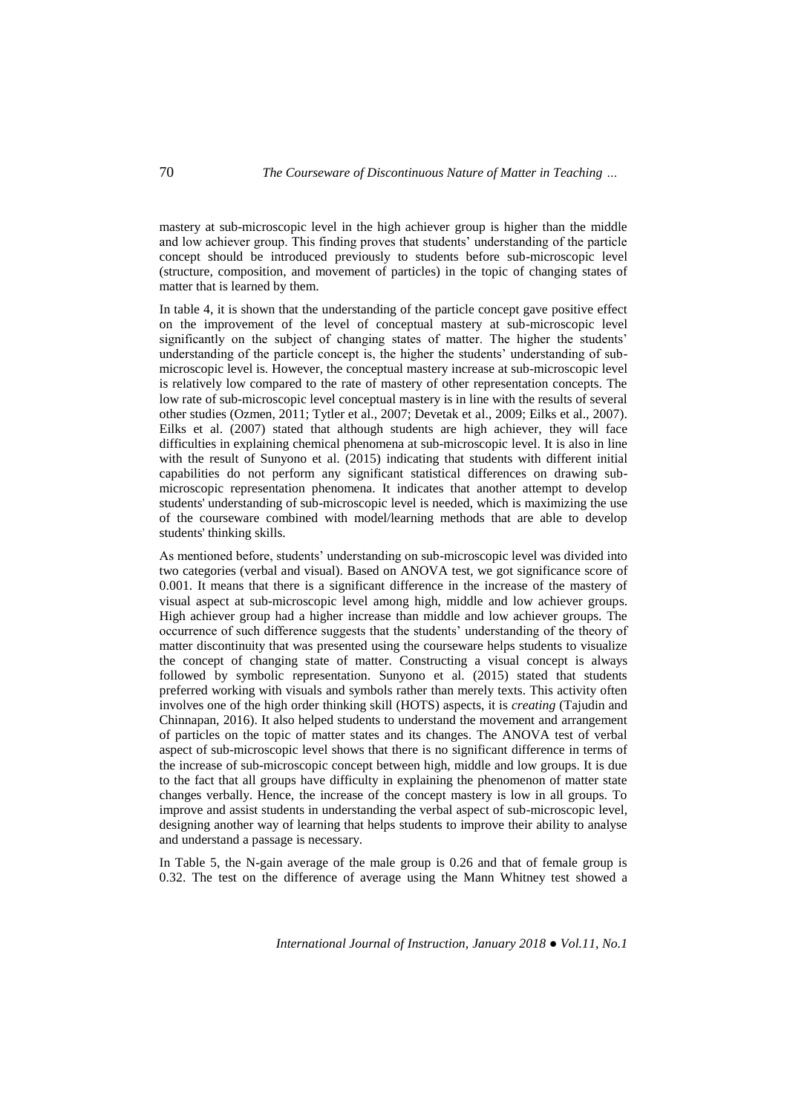mastery at sub-microscopic level in the high achiever group is higher than the middle and low achiever group. This finding proves that students' understanding of the particle concept should be introduced previously to students before sub-microscopic level (structure, composition, and movement of particles) in the topic of changing states of matter that is learned by them.

In table 4, it is shown that the understanding of the particle concept gave positive effect on the improvement of the level of conceptual mastery at sub-microscopic level significantly on the subject of changing states of matter. The higher the students' understanding of the particle concept is, the higher the students' understanding of submicroscopic level is. However, the conceptual mastery increase at sub-microscopic level is relatively low compared to the rate of mastery of other representation concepts. The low rate of sub-microscopic level conceptual mastery is in line with the results of several other studies (Ozmen, 2011; Tytler et al., 2007; Devetak et al., 2009; Eilks et al., 2007). Eilks et al. (2007) stated that although students are high achiever, they will face difficulties in explaining chemical phenomena at sub-microscopic level. It is also in line with the result of Sunyono et al. (2015) indicating that students with different initial capabilities do not perform any significant statistical differences on drawing submicroscopic representation phenomena. It indicates that another attempt to develop students' understanding of sub-microscopic level is needed, which is maximizing the use of the courseware combined with model/learning methods that are able to develop students' thinking skills.

As mentioned before, students' understanding on sub-microscopic level was divided into two categories (verbal and visual). Based on ANOVA test, we got significance score of 0.001. It means that there is a significant difference in the increase of the mastery of visual aspect at sub-microscopic level among high, middle and low achiever groups. High achiever group had a higher increase than middle and low achiever groups. The occurrence of such difference suggests that the students' understanding of the theory of matter discontinuity that was presented using the courseware helps students to visualize the concept of changing state of matter. Constructing a visual concept is always followed by symbolic representation. Sunyono et al. (2015) stated that students preferred working with visuals and symbols rather than merely texts. This activity often involves one of the high order thinking skill (HOTS) aspects, it is *creating* (Tajudin and Chinnapan, 2016). It also helped students to understand the movement and arrangement of particles on the topic of matter states and its changes. The ANOVA test of verbal aspect of sub-microscopic level shows that there is no significant difference in terms of the increase of sub-microscopic concept between high, middle and low groups. It is due to the fact that all groups have difficulty in explaining the phenomenon of matter state changes verbally. Hence, the increase of the concept mastery is low in all groups. To improve and assist students in understanding the verbal aspect of sub-microscopic level, designing another way of learning that helps students to improve their ability to analyse and understand a passage is necessary.

In Table 5, the N-gain average of the male group is 0.26 and that of female group is 0.32. The test on the difference of average using the Mann Whitney test showed a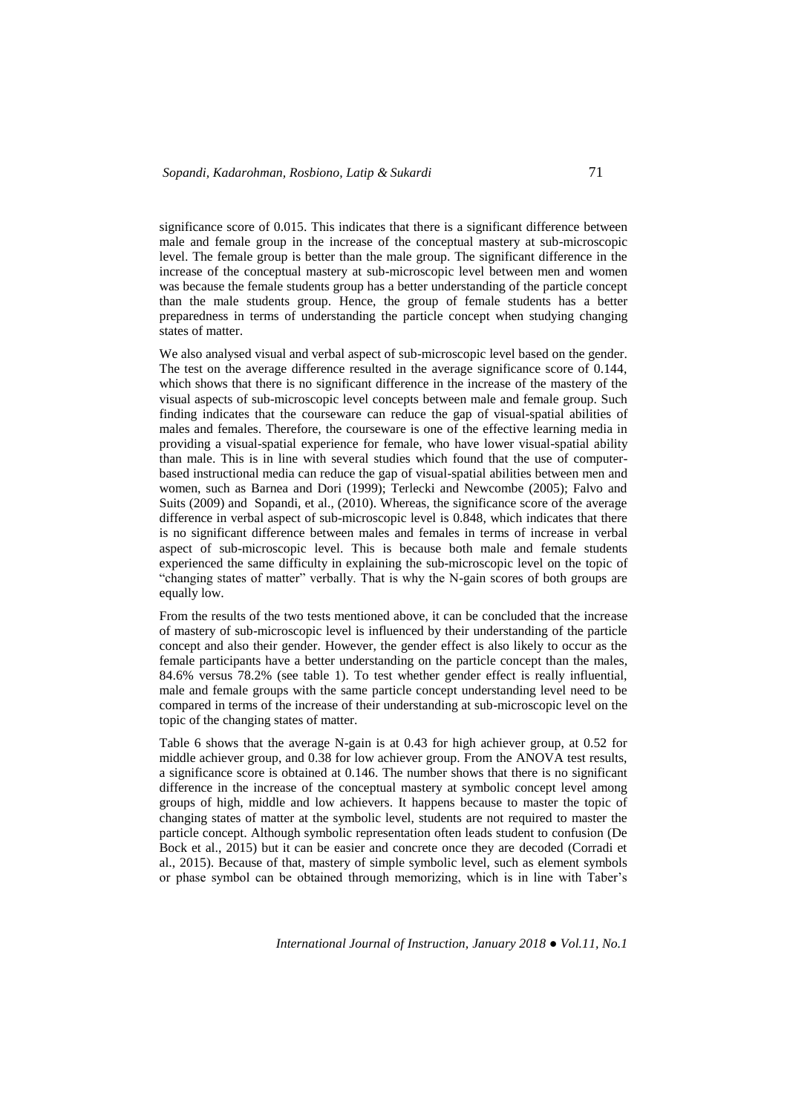significance score of 0.015. This indicates that there is a significant difference between male and female group in the increase of the conceptual mastery at sub-microscopic level. The female group is better than the male group. The significant difference in the increase of the conceptual mastery at sub-microscopic level between men and women was because the female students group has a better understanding of the particle concept than the male students group. Hence, the group of female students has a better preparedness in terms of understanding the particle concept when studying changing states of matter.

We also analysed visual and verbal aspect of sub-microscopic level based on the gender. The test on the average difference resulted in the average significance score of 0.144, which shows that there is no significant difference in the increase of the mastery of the visual aspects of sub-microscopic level concepts between male and female group. Such finding indicates that the courseware can reduce the gap of visual-spatial abilities of males and females. Therefore, the courseware is one of the effective learning media in providing a visual-spatial experience for female, who have lower visual-spatial ability than male. This is in line with several studies which found that the use of computerbased instructional media can reduce the gap of visual-spatial abilities between men and women, such as Barnea and Dori (1999); Terlecki and Newcombe (2005); Falvo and Suits (2009) and Sopandi, et al., (2010). Whereas, the significance score of the average difference in verbal aspect of sub-microscopic level is 0.848, which indicates that there is no significant difference between males and females in terms of increase in verbal aspect of sub-microscopic level. This is because both male and female students experienced the same difficulty in explaining the sub-microscopic level on the topic of "changing states of matter" verbally. That is why the N-gain scores of both groups are equally low.

From the results of the two tests mentioned above, it can be concluded that the increase of mastery of sub-microscopic level is influenced by their understanding of the particle concept and also their gender. However, the gender effect is also likely to occur as the female participants have a better understanding on the particle concept than the males, 84.6% versus 78.2% (see table 1). To test whether gender effect is really influential, male and female groups with the same particle concept understanding level need to be compared in terms of the increase of their understanding at sub-microscopic level on the topic of the changing states of matter.

Table 6 shows that the average N-gain is at 0.43 for high achiever group, at 0.52 for middle achiever group, and 0.38 for low achiever group. From the ANOVA test results, a significance score is obtained at 0.146. The number shows that there is no significant difference in the increase of the conceptual mastery at symbolic concept level among groups of high, middle and low achievers. It happens because to master the topic of changing states of matter at the symbolic level, students are not required to master the particle concept. Although symbolic representation often leads student to confusion (De Bock et al., 2015) but it can be easier and concrete once they are decoded (Corradi et al., 2015). Because of that, mastery of simple symbolic level, such as element symbols or phase symbol can be obtained through memorizing, which is in line with Taber's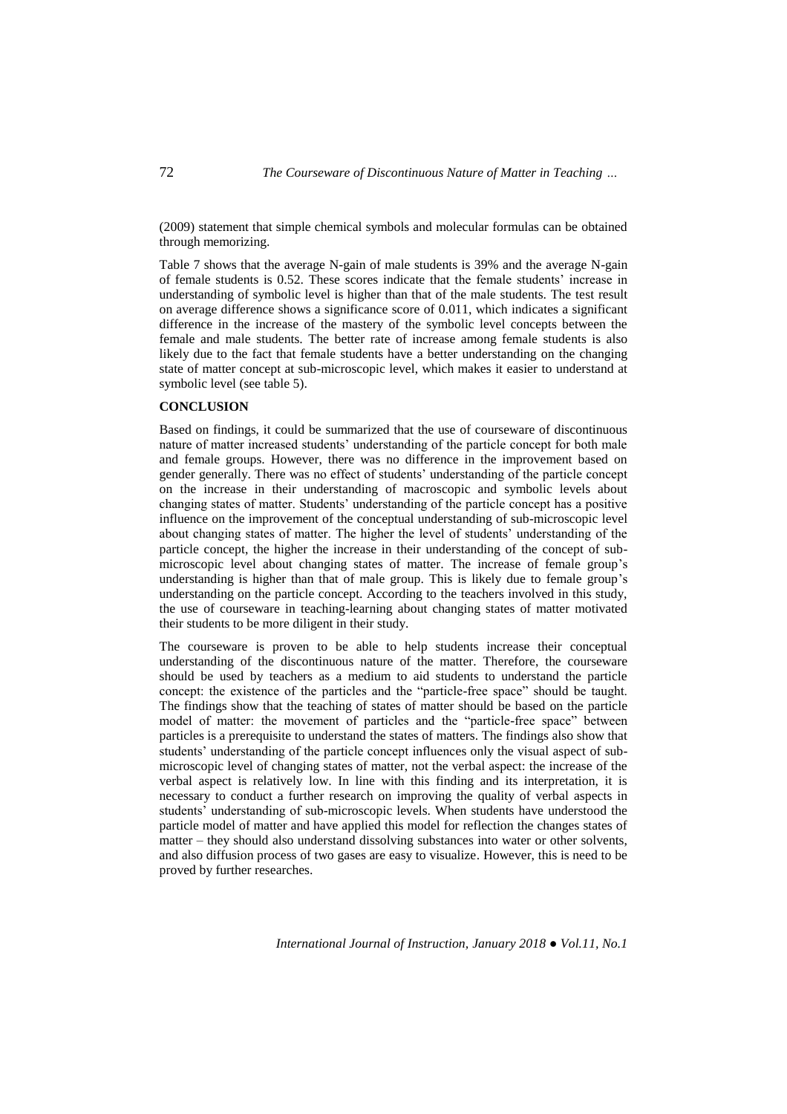(2009) statement that simple chemical symbols and molecular formulas can be obtained through memorizing.

Table 7 shows that the average N-gain of male students is 39% and the average N-gain of female students is 0.52. These scores indicate that the female students' increase in understanding of symbolic level is higher than that of the male students. The test result on average difference shows a significance score of 0.011, which indicates a significant difference in the increase of the mastery of the symbolic level concepts between the female and male students. The better rate of increase among female students is also likely due to the fact that female students have a better understanding on the changing state of matter concept at sub-microscopic level, which makes it easier to understand at symbolic level (see table 5).

## **CONCLUSION**

Based on findings, it could be summarized that the use of courseware of discontinuous nature of matter increased students' understanding of the particle concept for both male and female groups. However, there was no difference in the improvement based on gender generally. There was no effect of students' understanding of the particle concept on the increase in their understanding of macroscopic and symbolic levels about changing states of matter. Students' understanding of the particle concept has a positive influence on the improvement of the conceptual understanding of sub-microscopic level about changing states of matter. The higher the level of students' understanding of the particle concept, the higher the increase in their understanding of the concept of submicroscopic level about changing states of matter. The increase of female group's understanding is higher than that of male group. This is likely due to female group's understanding on the particle concept. According to the teachers involved in this study, the use of courseware in teaching-learning about changing states of matter motivated their students to be more diligent in their study.

The courseware is proven to be able to help students increase their conceptual understanding of the discontinuous nature of the matter. Therefore, the courseware should be used by teachers as a medium to aid students to understand the particle concept: the existence of the particles and the "particle-free space" should be taught. The findings show that the teaching of states of matter should be based on the particle model of matter: the movement of particles and the "particle-free space" between particles is a prerequisite to understand the states of matters. The findings also show that students' understanding of the particle concept influences only the visual aspect of submicroscopic level of changing states of matter, not the verbal aspect: the increase of the verbal aspect is relatively low. In line with this finding and its interpretation, it is necessary to conduct a further research on improving the quality of verbal aspects in students' understanding of sub-microscopic levels. When students have understood the particle model of matter and have applied this model for reflection the changes states of matter – they should also understand dissolving substances into water or other solvents, and also diffusion process of two gases are easy to visualize. However, this is need to be proved by further researches.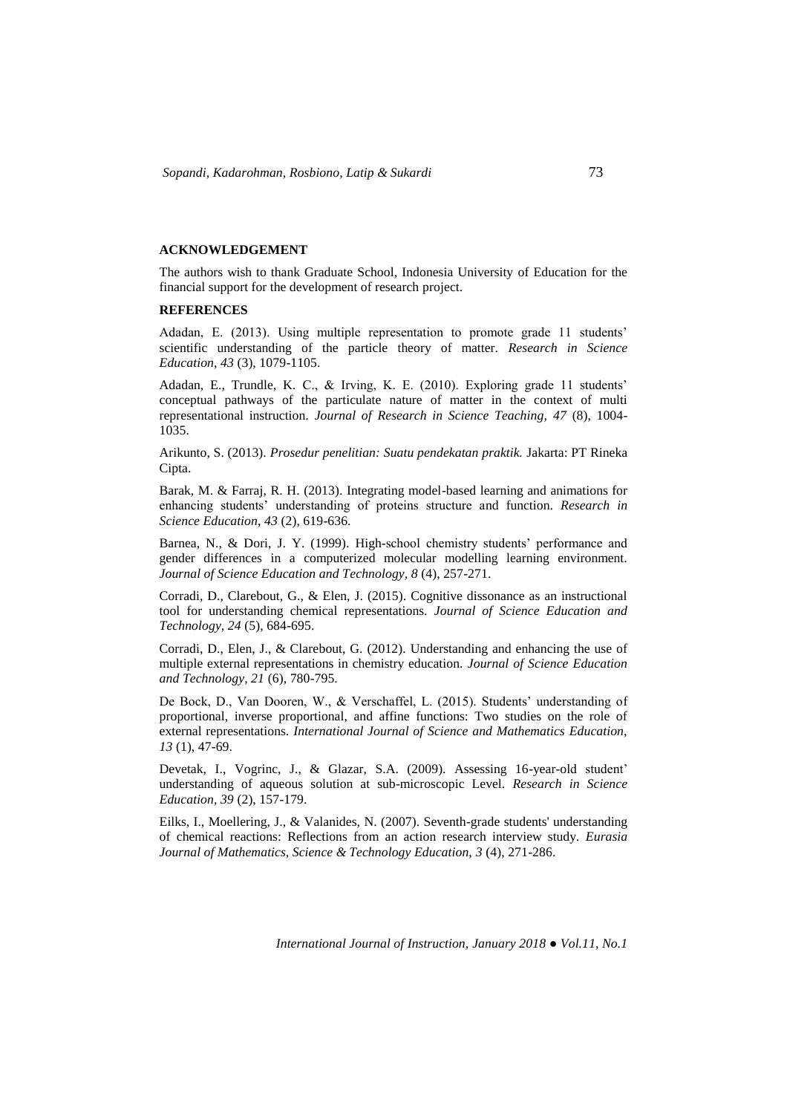#### **ACKNOWLEDGEMENT**

The authors wish to thank Graduate School, Indonesia University of Education for the financial support for the development of research project.

# **REFERENCES**

Adadan, E. (2013). Using multiple representation to promote grade 11 students' scientific understanding of the particle theory of matter. *Research in Science Education*, *43* (3), 1079-1105.

Adadan, E., Trundle, K. C., & Irving, K. E. (2010). Exploring grade 11 students' conceptual pathways of the particulate nature of matter in the context of multi representational instruction. *Journal of Research in Science Teaching, 47* (8), 1004- 1035.

Arikunto, S. (2013). *Prosedur penelitian: Suatu pendekatan praktik.* Jakarta: PT Rineka Cipta.

Barak, M. & Farraj, R. H. (2013). Integrating model-based learning and animations for enhancing students' understanding of proteins structure and function. *Research in Science Education*, *43* (2), 619-636.

Barnea, N., & Dori, J. Y. (1999). High-school chemistry students' performance and gender differences in a computerized molecular modelling learning environment*. Journal of Science Education and Technology, 8* (4), 257-271.

Corradi, D., Clarebout, G., & Elen, J. (2015). Cognitive dissonance as an instructional tool for understanding chemical representations. *Journal of Science Education and Technology, 24* (5), 684-695.

Corradi, D., Elen, J., & Clarebout, G. (2012). Understanding and enhancing the use of multiple external representations in chemistry education. *Journal of Science Education and Technology, 21* (6), 780-795.

De Bock, D., Van Dooren, W., & Verschaffel, L. (2015). Students' understanding of proportional, inverse proportional, and affine functions: Two studies on the role of external representations. *International Journal of Science and Mathematics Education, 13* (1), 47-69.

Devetak, I., Vogrinc, J., & Glazar, S.A. (2009). Assessing 16-year-old student' understanding of aqueous solution at sub-microscopic Level. *Research in Science Education, 39* (2), 157-179.

Eilks, I., Moellering, J., & Valanides, N. (2007). Seventh-grade students' understanding of chemical reactions: Reflections from an action research interview study. *Eurasia Journal of Mathematics, Science & Technology Education, 3* (4), 271-286.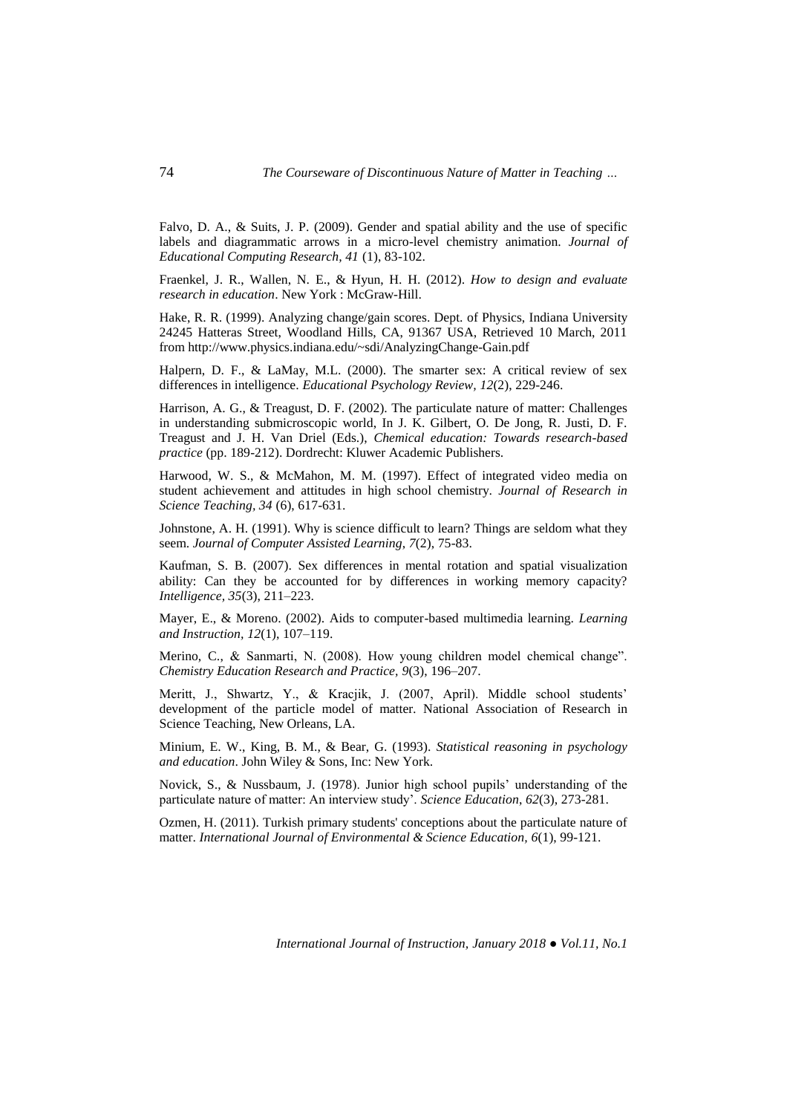Falvo, D. A., & Suits, J. P. (2009). Gender and spatial ability and the use of specific labels and diagrammatic arrows in a micro-level chemistry animation. *Journal of Educational Computing Research, 41* (1), 83-102.

Fraenkel, J. R., Wallen, N. E., & Hyun, H. H. (2012). *How to design and evaluate research in education*. New York : McGraw-Hill.

Hake, R. R. (1999). Analyzing change/gain scores. Dept. of Physics, Indiana University 24245 Hatteras Street, Woodland Hills, CA, 91367 USA, Retrieved 10 March, 2011 from http://www.physics.indiana.edu/~sdi/AnalyzingChange-Gain.pdf

Halpern, D. F., & LaMay, M.L. (2000). The smarter sex: A critical review of sex differences in intelligence. *Educational Psychology Review, 12*(2), 229-246.

Harrison, A. G., & Treagust, D. F. (2002). The particulate nature of matter: Challenges in understanding submicroscopic world, In J. K. Gilbert, O. De Jong, R. Justi, D. F. Treagust and J. H. Van Driel (Eds.), *Chemical education: Towards research-based practice* (pp. 189-212). Dordrecht: Kluwer Academic Publishers.

Harwood, W. S., & McMahon, M. M. (1997). Effect of integrated video media on student achievement and attitudes in high school chemistry. *Journal of Research in Science Teaching, 34* (6), 617-631.

Johnstone, A. H. (1991). Why is science difficult to learn? Things are seldom what they seem. *Journal of Computer Assisted Learning*, *7*(2), 75-83.

Kaufman, S. B. (2007). Sex differences in mental rotation and spatial visualization ability: Can they be accounted for by differences in working memory capacity? *Intelligence, 35*(3), 211–223.

Mayer, E., & Moreno. (2002). Aids to computer-based multimedia learning. *Learning and Instruction, 12*(1), 107–119.

Merino, C., & Sanmarti, N. (2008). How young children model chemical change". *Chemistry Education Research and Practice, 9*(3), 196–207.

Meritt, J., Shwartz, Y., & Kracjik, J. (2007, April). Middle school students' development of the particle model of matter*.* National Association of Research in Science Teaching, New Orleans, LA.

Minium, E. W., King, B. M., & Bear, G. (1993). *Statistical reasoning in psychology and education*. John Wiley & Sons, Inc: New York.

Novick, S., & Nussbaum, J. (1978). Junior high school pupils' understanding of the particulate nature of matter: An interview study'. *Science Education*, *62*(3), 273-281.

Ozmen, H. (2011). Turkish primary students' conceptions about the particulate nature of matter. *International Journal of Environmental & Science Education, 6*(1), 99-121.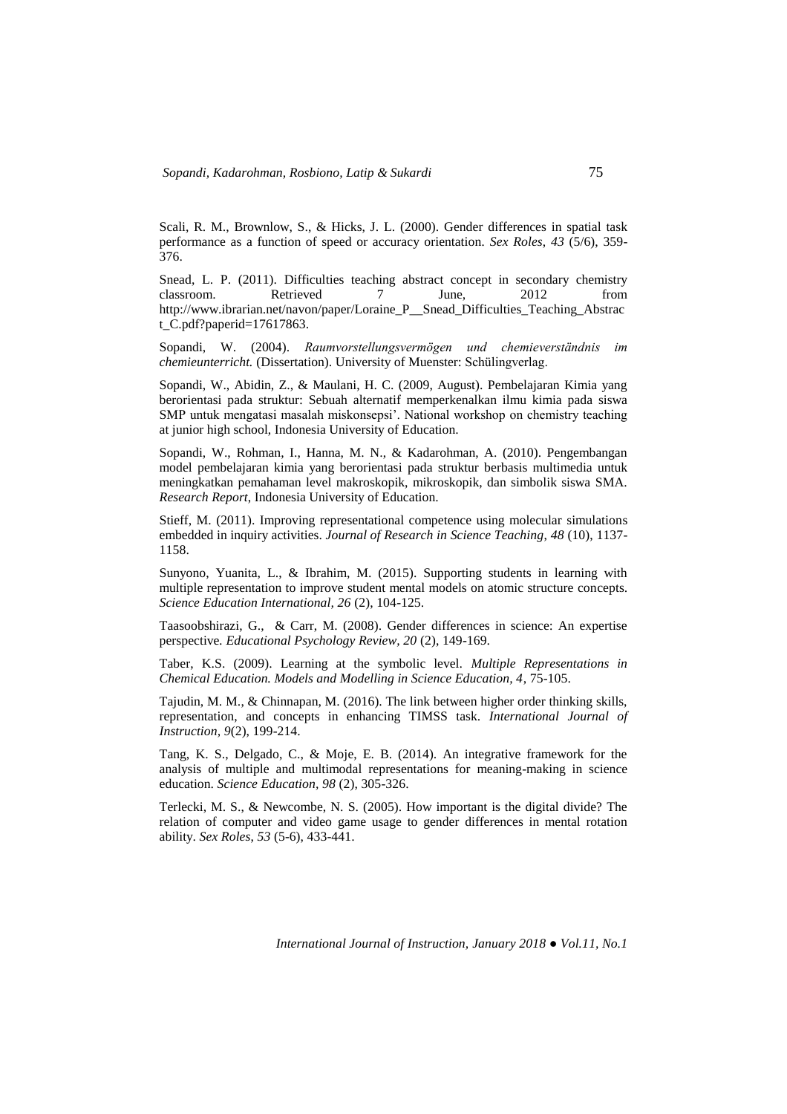Scali, R. M., Brownlow, S., & Hicks, J. L. (2000). Gender differences in spatial task performance as a function of speed or accuracy orientation*. Sex Roles*, *43* (5/6), 359- 376.

Snead, L. P. (2011). Difficulties teaching abstract concept in secondary chemistry classroom. Retrieved 7 June, 2012 from http://www.ibrarian.net/navon/paper/Loraine\_P\_\_Snead\_Difficulties\_Teaching\_Abstrac t\_C.pdf?paperid=17617863.

Sopandi, W. (2004). *Raumvorstellungsvermögen und chemieverständnis im chemieunterricht.* (Dissertation). University of Muenster: Schülingverlag.

Sopandi, W., Abidin, Z., & Maulani, H. C. (2009, August). Pembelajaran Kimia yang berorientasi pada struktur: Sebuah alternatif memperkenalkan ilmu kimia pada siswa SMP untuk mengatasi masalah miskonsepsi'. National workshop on chemistry teaching at junior high school, Indonesia University of Education.

Sopandi, W., Rohman, I., Hanna, M. N., & Kadarohman, A. (2010). Pengembangan model pembelajaran kimia yang berorientasi pada struktur berbasis multimedia untuk meningkatkan pemahaman level makroskopik, mikroskopik, dan simbolik siswa SMA. *Research Report*, Indonesia University of Education.

Stieff, M. (2011). Improving representational competence using molecular simulations embedded in inquiry activities. *Journal of Research in Science Teaching*, *48* (10), 1137- 1158.

Sunyono, Yuanita, L., & Ibrahim, M. (2015). Supporting students in learning with multiple representation to improve student mental models on atomic structure concepts. *Science Education International, 26* (2), 104-125.

Taasoobshirazi, G., & Carr, M. (2008). Gender differences in science: An expertise perspective*. Educational Psychology Review, 20* (2), 149-169.

Taber, K.S. (2009). Learning at the symbolic level. *Multiple Representations in Chemical Education. Models and Modelling in Science Education, 4*, 75-105.

Tajudin, M. M., & Chinnapan, M. (2016). The link between higher order thinking skills, representation, and concepts in enhancing TIMSS task. *International Journal of Instruction, 9*(2), 199-214.

Tang, K. S., Delgado, C., & Moje, E. B. (2014). An integrative framework for the analysis of multiple and multimodal representations for meaning-making in science education. *Science Education, 98* (2), 305-326.

Terlecki, M. S., & Newcombe, N. S. (2005). How important is the digital divide? The relation of computer and video game usage to gender differences in mental rotation ability. *Sex Roles*, *53* (5-6), 433-441.